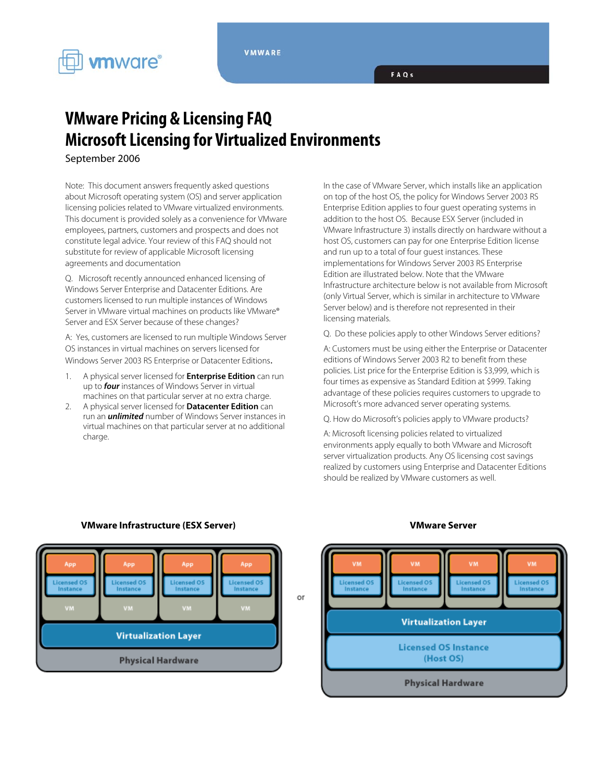



## **VMware Pricing & Licensing FAQ Microsoft Licensing for Virtualized Environments**

September 2006

Note: This document answers frequently asked questions about Microsoft operating system (OS) and server application licensing policies related to VMware virtualized environments. This document is provided solely as a convenience for VMware employees, partners, customers and prospects and does not constitute legal advice. Your review of this FAQ should not substitute for review of applicable Microsoft licensing agreements and documentation

Q. Microsoft recently announced enhanced licensing of Windows Server Enterprise and Datacenter Editions. Are customers licensed to run multiple instances of Windows Server in VMware virtual machines on products like VMware® Server and ESX Server because of these changes?

A: Yes, customers are licensed to run multiple Windows Server OS instances in virtual machines on servers licensed for Windows Server 2003 RS Enterprise or Datacenter Editions.

- 1. A physical server licensed for **Enterprise Edition** can run up to **four** instances of Windows Server in virtual machines on that particular server at no extra charge.
- 2. A physical server licensed for **Datacenter Edition** can run an **unlimited** number of Windows Server instances in virtual machines on that particular server at no additional charge.

In the case of VMware Server, which installs like an application on top of the host OS, the policy for Windows Server 2003 RS Enterprise Edition applies to four guest operating systems in addition to the host OS. Because ESX Server (included in VMware Infrastructure 3) installs directly on hardware without a host OS, customers can pay for one Enterprise Edition license and run up to a total of four guest instances. These implementations for Windows Server 2003 RS Enterprise Edition are illustrated below. Note that the VMware Infrastructure architecture below is not available from Microsoft (only Virtual Server, which is similar in architecture to VMware Server below) and is therefore not represented in their licensing materials.

Q. Do these policies apply to other Windows Server editions?

A: Customers must be using either the Enterprise or Datacenter editions of Windows Server 2003 R2 to benefit from these policies. List price for the Enterprise Edition is \$3,999, which is four times as expensive as Standard Edition at \$999. Taking advantage of these policies requires customers to upgrade to Microsoft's more advanced server operating systems.

Q. How do Microsoft's policies apply to VMware products?

A: Microsoft licensing policies related to virtualized environments apply equally to both VMware and Microsoft server virtualization products. Any OS licensing cost savings realized by customers using Enterprise and Datacenter Editions should be realized by VMware customers as well.



## **VMware Infrastructure (ESX Server) VMware Server**